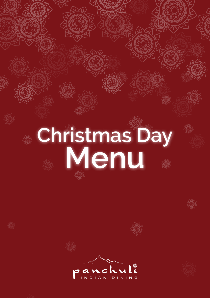# **Christmas Day<br>Menu**